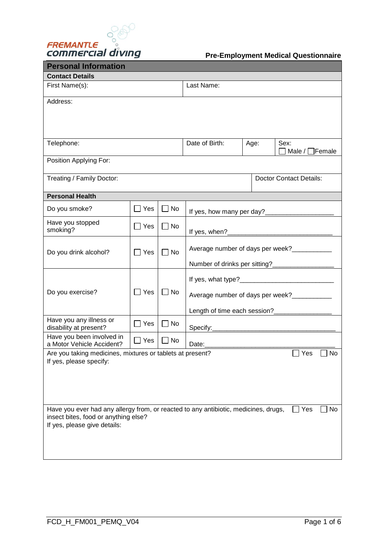

| <b>Personal Information</b>                                                                                                                                 |            |           |                                                                                                                                                                                                                                                                                      |      |                                |                     |
|-------------------------------------------------------------------------------------------------------------------------------------------------------------|------------|-----------|--------------------------------------------------------------------------------------------------------------------------------------------------------------------------------------------------------------------------------------------------------------------------------------|------|--------------------------------|---------------------|
| <b>Contact Details</b>                                                                                                                                      |            |           |                                                                                                                                                                                                                                                                                      |      |                                |                     |
| First Name(s):                                                                                                                                              |            |           | Last Name:                                                                                                                                                                                                                                                                           |      |                                |                     |
| Address:                                                                                                                                                    |            |           |                                                                                                                                                                                                                                                                                      |      |                                |                     |
| Telephone:                                                                                                                                                  |            |           | Date of Birth:                                                                                                                                                                                                                                                                       | Age: | Sex:<br>Male $/$ $\lceil$      | Female <sup>]</sup> |
| Position Applying For:                                                                                                                                      |            |           |                                                                                                                                                                                                                                                                                      |      |                                |                     |
| Treating / Family Doctor:                                                                                                                                   |            |           |                                                                                                                                                                                                                                                                                      |      | <b>Doctor Contact Details:</b> |                     |
| <b>Personal Health</b>                                                                                                                                      |            |           |                                                                                                                                                                                                                                                                                      |      |                                |                     |
| Do you smoke?                                                                                                                                               | $\Box$ Yes | $\Box$ No |                                                                                                                                                                                                                                                                                      |      |                                |                     |
| Have you stopped<br>smoking?                                                                                                                                | Yes        | $\Box$ No |                                                                                                                                                                                                                                                                                      |      |                                |                     |
| Do you drink alcohol?                                                                                                                                       | Yes        | $\Box$ No | Average number of days per week?<br>Number of drinks per sitting?<br><u>[</u> [16] Mumber of drinks per sitting?<br>[16] Mumber of drinks per sitting?<br>[26] Mumber of drinks per sitting?<br>[26] Mumber of drinks per sitting?<br>[26] Mumber of drinks per sitting?<br>[26] Mum |      |                                |                     |
| Do you exercise?                                                                                                                                            | Yes        | $\Box$ No | Average number of days per week?<br>Length of time each session?__________________                                                                                                                                                                                                   |      |                                |                     |
| Have you any illness or<br>disability at present?                                                                                                           | $\Box$ Yes | $\Box$ No |                                                                                                                                                                                                                                                                                      |      |                                |                     |
| Have you been involved in<br>a Motor Vehicle Accident?                                                                                                      | $\Box$ Yes | $\Box$ No |                                                                                                                                                                                                                                                                                      |      |                                |                     |
| Are you taking medicines, mixtures or tablets at present?<br>If yes, please specify:                                                                        |            |           |                                                                                                                                                                                                                                                                                      |      | Yes                            | No                  |
| Have you ever had any allergy from, or reacted to any antibiotic, medicines, drugs,<br>insect bites, food or anything else?<br>If yes, please give details: |            |           |                                                                                                                                                                                                                                                                                      |      | Yes                            | No                  |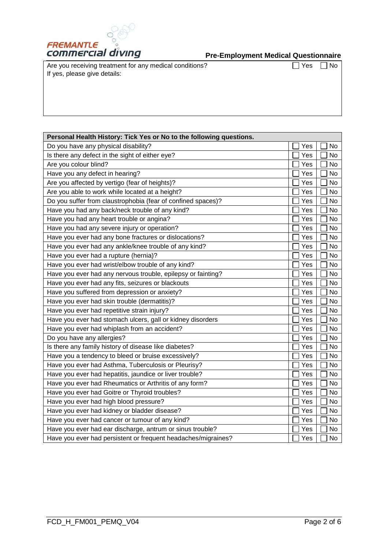

Are you receiving treatment for any medical conditions? If yes, please give details:

 $\boxed{\phantom{1}}$  Yes  $\boxed{\phantom{1}}$  No

| Personal Health History: Tick Yes or No to the following questions. |     |    |  |  |  |
|---------------------------------------------------------------------|-----|----|--|--|--|
| Do you have any physical disability?                                | Yes | No |  |  |  |
| Is there any defect in the sight of either eye?                     | Yes | No |  |  |  |
| Are you colour blind?                                               | Yes | No |  |  |  |
| Have you any defect in hearing?                                     | Yes | No |  |  |  |
| Are you affected by vertigo (fear of heights)?                      | Yes | No |  |  |  |
| Are you able to work while located at a height?                     | Yes | No |  |  |  |
| Do you suffer from claustrophobia (fear of confined spaces)?        | Yes | No |  |  |  |
| Have you had any back/neck trouble of any kind?                     | Yes | No |  |  |  |
| Have you had any heart trouble or angina?                           | Yes | No |  |  |  |
| Have you had any severe injury or operation?                        | Yes | No |  |  |  |
| Have you ever had any bone fractures or dislocations?               | Yes | No |  |  |  |
| Have you ever had any ankle/knee trouble of any kind?               | Yes | No |  |  |  |
| Have you ever had a rupture (hernia)?                               | Yes | No |  |  |  |
| Have you ever had wrist/elbow trouble of any kind?                  | Yes | No |  |  |  |
| Have you ever had any nervous trouble, epilepsy or fainting?        | Yes | No |  |  |  |
| Have you ever had any fits, seizures or blackouts                   | Yes | No |  |  |  |
| Have you suffered from depression or anxiety?                       | Yes | No |  |  |  |
| Have you ever had skin trouble (dermatitis)?                        | Yes | No |  |  |  |
| Have you ever had repetitive strain injury?                         | Yes | No |  |  |  |
| Have you ever had stomach ulcers, gall or kidney disorders          | Yes | No |  |  |  |
| Have you ever had whiplash from an accident?                        | Yes | No |  |  |  |
| Do you have any allergies?                                          | Yes | No |  |  |  |
| Is there any family history of disease like diabetes?               | Yes | No |  |  |  |
| Have you a tendency to bleed or bruise excessively?                 | Yes | No |  |  |  |
| Have you ever had Asthma, Tuberculosis or Pleurisy?                 | Yes | No |  |  |  |
| Have you ever had hepatitis, jaundice or liver trouble?             | Yes | No |  |  |  |
| Have you ever had Rheumatics or Arthritis of any form?              | Yes | No |  |  |  |
| Have you ever had Goitre or Thyroid troubles?                       | Yes | No |  |  |  |
| Have you ever had high blood pressure?                              | Yes | No |  |  |  |
| Have you ever had kidney or bladder disease?                        | Yes | No |  |  |  |
| Have you ever had cancer or tumour of any kind?                     | Yes | No |  |  |  |
| Have you ever had ear discharge, antrum or sinus trouble?           | Yes | No |  |  |  |
| Have you ever had persistent or frequent headaches/migraines?       | Yes | No |  |  |  |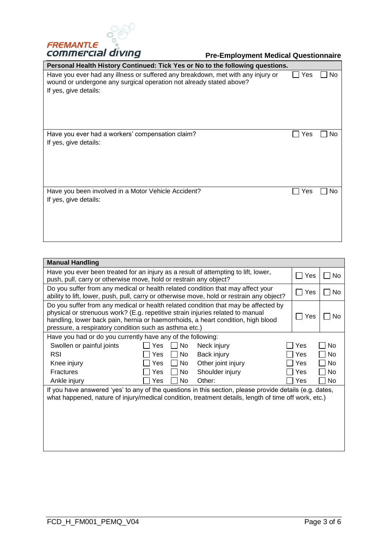

| Personal Health History Continued: Tick Yes or No to the following questions.                                                                                                   |     |    |
|---------------------------------------------------------------------------------------------------------------------------------------------------------------------------------|-----|----|
| Have you ever had any illness or suffered any breakdown, met with any injury or<br>wound or undergone any surgical operation not already stated above?<br>If yes, give details: | Yes | No |
| Have you ever had a workers' compensation claim?<br>If yes, give details:                                                                                                       | Yes | No |
| Have you been involved in a Motor Vehicle Accident?<br>If yes, give details:                                                                                                    | Yes | No |

| <b>Manual Handling</b>                                                                                                                                                                                                                                                                                             |                          |     |                    |  |     |           |
|--------------------------------------------------------------------------------------------------------------------------------------------------------------------------------------------------------------------------------------------------------------------------------------------------------------------|--------------------------|-----|--------------------|--|-----|-----------|
| Have you ever been treated for an injury as a result of attempting to lift, lower,<br>push, pull, carry or otherwise move, hold or restrain any object?                                                                                                                                                            |                          |     |                    |  |     | No.       |
| Do you suffer from any medical or health related condition that may affect your<br>ability to lift, lower, push, pull, carry or otherwise move, hold or restrain any object?                                                                                                                                       |                          |     |                    |  |     | No.       |
| Do you suffer from any medical or health related condition that may be affected by<br>physical or strenuous work? (E.g. repetitive strain injuries related to manual<br>handling, lower back pain, hernia or haemorrhoids, a heart condition, high blood<br>pressure, a respiratory condition such as asthma etc.) |                          |     |                    |  | Yes | No        |
| Have you had or do you currently have any of the following:                                                                                                                                                                                                                                                        |                          |     |                    |  |     |           |
| Swollen or painful joints                                                                                                                                                                                                                                                                                          | No<br>Neck injury<br>Yes |     |                    |  | Yes | No        |
| <b>RSI</b>                                                                                                                                                                                                                                                                                                         | Yes                      | No. | Back injury        |  | Yes | <b>No</b> |
| Knee injury                                                                                                                                                                                                                                                                                                        | Yes                      | No  | Other joint injury |  | Yes | No        |
| <b>Fractures</b>                                                                                                                                                                                                                                                                                                   | Yes                      | No. | Shoulder injury    |  | Yes | <b>No</b> |
| Ankle injury                                                                                                                                                                                                                                                                                                       | Yes                      | No  | Other:             |  | Yes | No        |
| If you have answered 'yes' to any of the questions in this section, please provide details (e.g. dates,<br>what happened, nature of injury/medical condition, treatment details, length of time off work, etc.)                                                                                                    |                          |     |                    |  |     |           |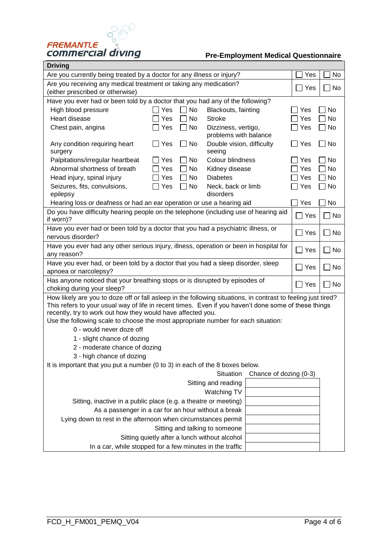

| Driving                                                                                                                                                             |                                               |                                              |                        |            |                      |  |  |
|---------------------------------------------------------------------------------------------------------------------------------------------------------------------|-----------------------------------------------|----------------------------------------------|------------------------|------------|----------------------|--|--|
| Are you currently being treated by a doctor for any illness or injury?                                                                                              |                                               |                                              |                        | Yes        | No                   |  |  |
| Are you receiving any medical treatment or taking any medication?                                                                                                   | Yes                                           | No                                           |                        |            |                      |  |  |
| (either prescribed or otherwise)                                                                                                                                    |                                               |                                              |                        |            |                      |  |  |
| Have you ever had or been told by a doctor that you had any of the following?                                                                                       |                                               |                                              |                        |            |                      |  |  |
| High blood pressure                                                                                                                                                 | Yes<br>No                                     | Blackouts, fainting                          |                        | Yes        | No                   |  |  |
| Heart disease                                                                                                                                                       | No<br>Yes                                     | <b>Stroke</b>                                |                        | Yes        | No                   |  |  |
| Chest pain, angina                                                                                                                                                  | Yes<br>No                                     | Dizziness, vertigo,<br>problems with balance |                        | Yes        | $\Box$ No            |  |  |
| Any condition requiring heart<br>surgery                                                                                                                            | No<br>Yes                                     | Double vision, difficulty<br>seeing          |                        | $\Box$ Yes | $\Box$ No            |  |  |
| Palpitations/irregular heartbeat                                                                                                                                    | Yes<br>No                                     | Colour blindness                             |                        | Yes        | $\Box$ No            |  |  |
| Abnormal shortness of breath                                                                                                                                        | Yes<br>No                                     | Kidney disease                               |                        | Yes        | $\Box$ No            |  |  |
| Head injury, spinal injury                                                                                                                                          | Yes<br>No                                     | <b>Diabetes</b>                              |                        | Yes        | $\Box$ No            |  |  |
| Seizures, fits, convulsions,                                                                                                                                        | Yes<br>No                                     | Neck, back or limb                           |                        | Yes        | $\Box$ No            |  |  |
| epilepsy                                                                                                                                                            |                                               | disorders                                    |                        |            |                      |  |  |
| Hearing loss or deafness or had an ear operation or use a hearing aid                                                                                               |                                               |                                              |                        | Yes        | No                   |  |  |
| Do you have difficulty hearing people on the telephone (including use of hearing aid<br>if worn)?                                                                   |                                               |                                              |                        | $\Box$ Yes | No                   |  |  |
| Have you ever had or been told by a doctor that you had a psychiatric illness, or<br>nervous disorder?                                                              |                                               |                                              |                        | $\Box$ Yes | No<br>$\blacksquare$ |  |  |
| Have you ever had any other serious injury, illness, operation or been in hospital for                                                                              |                                               |                                              |                        |            |                      |  |  |
| any reason?                                                                                                                                                         | $\Box$ Yes                                    | No                                           |                        |            |                      |  |  |
| Have you ever had, or been told by a doctor that you had a sleep disorder, sleep                                                                                    |                                               | Yes                                          | No                     |            |                      |  |  |
| apnoea or narcolepsy?                                                                                                                                               |                                               |                                              |                        |            |                      |  |  |
| Has anyone noticed that your breathing stops or is disrupted by episodes of                                                                                         |                                               |                                              |                        | $\Box$ Yes | No                   |  |  |
| choking during your sleep?                                                                                                                                          |                                               |                                              |                        |            |                      |  |  |
| How likely are you to doze off or fall asleep in the following situations, in contrast to feeling just tired?                                                       |                                               |                                              |                        |            |                      |  |  |
| This refers to your usual way of life in recent times. Even if you haven't done some of these things<br>recently, try to work out how they would have affected you. |                                               |                                              |                        |            |                      |  |  |
| Use the following scale to choose the most appropriate number for each situation:                                                                                   |                                               |                                              |                        |            |                      |  |  |
| 0 - would never doze off                                                                                                                                            |                                               |                                              |                        |            |                      |  |  |
| 1 - slight chance of dozing                                                                                                                                         |                                               |                                              |                        |            |                      |  |  |
| 2 - moderate chance of dozing                                                                                                                                       |                                               |                                              |                        |            |                      |  |  |
| 3 - high chance of dozing                                                                                                                                           |                                               |                                              |                        |            |                      |  |  |
| It is important that you put a number (0 to 3) in each of the 8 boxes below.                                                                                        |                                               |                                              |                        |            |                      |  |  |
|                                                                                                                                                                     |                                               | Situation                                    | Chance of dozing (0-3) |            |                      |  |  |
|                                                                                                                                                                     |                                               | Sitting and reading                          |                        |            |                      |  |  |
|                                                                                                                                                                     |                                               | Watching TV                                  |                        |            |                      |  |  |
| Sitting, inactive in a public place (e.g. a theatre or meeting)                                                                                                     |                                               |                                              |                        |            |                      |  |  |
| As a passenger in a car for an hour without a break                                                                                                                 |                                               |                                              |                        |            |                      |  |  |
| Lying down to rest in the afternoon when circumstances permit                                                                                                       |                                               |                                              |                        |            |                      |  |  |
|                                                                                                                                                                     | Sitting and talking to someone                |                                              |                        |            |                      |  |  |
|                                                                                                                                                                     | Sitting quietly after a lunch without alcohol |                                              |                        |            |                      |  |  |
| In a car, while stopped for a few minutes in the traffic                                                                                                            |                                               |                                              |                        |            |                      |  |  |
|                                                                                                                                                                     |                                               |                                              |                        |            |                      |  |  |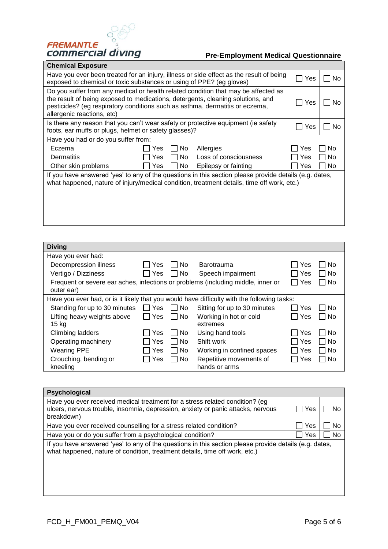

#### **Pre-Employment Medical Questionnaire**  $\overline{\phantom{a}}$

| Chemical Exposure                                                                                                                                                                                                                                                                   |     |     |                                                                                                                                                                                                      |     |     |
|-------------------------------------------------------------------------------------------------------------------------------------------------------------------------------------------------------------------------------------------------------------------------------------|-----|-----|------------------------------------------------------------------------------------------------------------------------------------------------------------------------------------------------------|-----|-----|
| Have you ever been treated for an injury, illness or side effect as the result of being<br>exposed to chemical or toxic substances or using of PPE? (eg gloves)                                                                                                                     |     |     |                                                                                                                                                                                                      |     | No. |
| Do you suffer from any medical or health related condition that may be affected as<br>the result of being exposed to medications, detergents, cleaning solutions, and<br>pesticides? (eg respiratory conditions such as asthma, dermatitis or eczema,<br>allergenic reactions, etc) |     |     |                                                                                                                                                                                                      |     | No. |
| Is there any reason that you can't wear safety or protective equipment (ie safety<br>foots, ear muffs or plugs, helmet or safety glasses)?                                                                                                                                          | Yes | No. |                                                                                                                                                                                                      |     |     |
| Have you had or do you suffer from:                                                                                                                                                                                                                                                 |     |     |                                                                                                                                                                                                      |     |     |
| Eczema                                                                                                                                                                                                                                                                              | Yes | No. | Allergies                                                                                                                                                                                            | Yes | No  |
| Dermatitis                                                                                                                                                                                                                                                                          | Yes | No. | Loss of consciousness                                                                                                                                                                                | Yes | No. |
| Other skin problems                                                                                                                                                                                                                                                                 | Yes | No  | Epilepsy or fainting                                                                                                                                                                                 | Yes | No. |
|                                                                                                                                                                                                                                                                                     |     |     | If you have answered 'yes' to any of the questions in this section please provide details (e.g. dates,<br>what happened, nature of injury/medical condition, treatment details, time off work, etc.) |     |     |

| <b>Diving</b>                                                                                                 |     |                     |                                          |       |        |
|---------------------------------------------------------------------------------------------------------------|-----|---------------------|------------------------------------------|-------|--------|
| Have you ever had:                                                                                            |     |                     |                                          |       |        |
| Decompression illness                                                                                         | Yes | No.                 | <b>Barotrauma</b>                        | Yes   | No     |
| Vertigo / Dizziness                                                                                           | Yes | No.                 | Speech impairment                        | Yes   | – I No |
| Yes<br>l No<br>Frequent or severe ear aches, infections or problems (including middle, inner or<br>outer ear) |     |                     |                                          |       |        |
| Have you ever had, or is it likely that you would have difficulty with the following tasks:                   |     |                     |                                          |       |        |
| Standing for up to 30 minutes                                                                                 | Yes | No.<br>$\mathbf{L}$ | Sitting for up to 30 minutes             | Yes   | No     |
| Lifting heavy weights above<br>15 kg                                                                          | Yes | No                  | Working in hot or cold<br>extremes       | ∣ Yes | – I No |
| Climbing ladders                                                                                              | Yes | No.                 | Using hand tools                         | Yes   | . ⊤ No |
| Operating machinery                                                                                           | Yes | No                  | Shift work                               | Yes   | ∣No    |
| <b>Wearing PPE</b>                                                                                            | Yes | No                  | Working in confined spaces               | Yes   | l I No |
| Crouching, bending or<br>kneeling                                                                             | Yes | No                  | Repetitive movements of<br>hands or arms | Yes   | – I No |

| Psychological                                                                                                                                                                         |     |    |
|---------------------------------------------------------------------------------------------------------------------------------------------------------------------------------------|-----|----|
| Have you ever received medical treatment for a stress related condition? (eg<br>ulcers, nervous trouble, insomnia, depression, anxiety or panic attacks, nervous<br>breakdown)        | Yes | No |
| Have you ever received counselling for a stress related condition?                                                                                                                    | Yes | No |
| Have you or do you suffer from a psychological condition?                                                                                                                             | Yes | No |
| If you have answered 'yes' to any of the questions in this section please provide details (e.g. dates,<br>what happened, nature of condition, treatment details, time off work, etc.) |     |    |